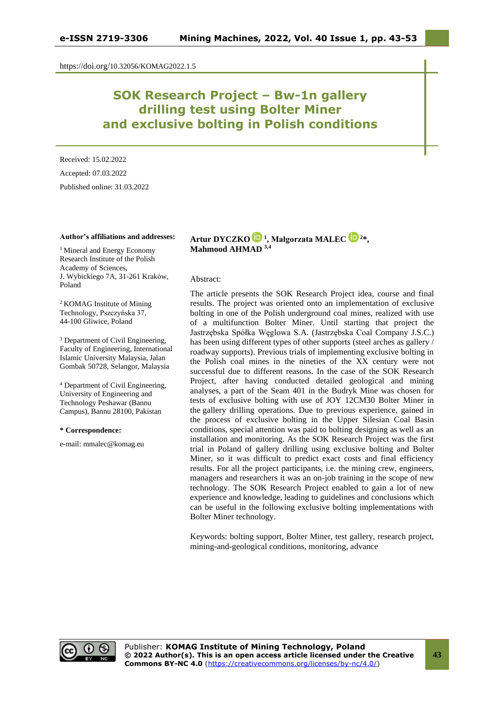https://doi.org/10.32056/KOMAG2022.1.5

# **SOK Research Project – Bw-1n gallery drilling test using Bolter Miner and exclusive bolting in Polish conditions**

Received: 15.02.2022 Accepted: 07.03.2022 Published online: 31.03.2022

### **Author's affiliations and addresses:**

<sup>1</sup> Mineral and Energy Economy Research Institute of the Polish Academy of Sciences, J. Wybickiego 7A, 31-261 Kraków, Poland

<sup>2</sup> KOMAG Institute of Mining Technology, Pszczyńska 37, 44-100 Gliwice, Poland

<sup>3</sup> Department of Civil Engineering, Faculty of Engineering, International Islamic University Malaysia, Jalan Gombak 50728, Selangor, Malaysia

<sup>4</sup> Department of Civil Engineering, University of Engineering and Technology Peshawar (Bannu Campus), Bannu 28100, Pakistan

#### **\* Correspondence:**

e-mail: mmalec@komag.eu

# **Artur DYCZK[O](https://orcid.org/0000-0001-6387-5339) <sup>1</sup> , Małgorzata MALEC [2](https://orcid.org/0000-0002-6373-4568)\*, Mahmood AHMAD 3,4**

#### Abstract:

The article presents the SOK Research Project idea, course and final results. The project was oriented onto an implementation of exclusive bolting in one of the Polish underground coal mines, realized with use of a multifunction Bolter Miner. Until starting that project the Jastrzębska Spółka Węglowa S.A. (Jastrzębska Coal Company J.S.C.) has been using different types of other supports (steel arches as gallery / roadway supports). Previous trials of implementing exclusive bolting in the Polish coal mines in the nineties of the XX century were not successful due to different reasons. In the case of the SOK Research Project, after having conducted detailed geological and mining analyses, a part of the Seam 401 in the Budryk Mine was chosen for tests of exclusive bolting with use of JOY 12CM30 Bolter Miner in the gallery drilling operations. Due to previous experience, gained in the process of exclusive bolting in the Upper Silesian Coal Basin conditions, special attention was paid to bolting designing as well as an installation and monitoring. As the SOK Research Project was the first trial in Poland of gallery drilling using exclusive bolting and Bolter Miner, so it was difficult to predict exact costs and final efficiency results. For all the project participants, i.e. the mining crew, engineers, managers and researchers it was an on-job training in the scope of new technology. The SOK Research Project enabled to gain a lot of new experience and knowledge, leading to guidelines and conclusions which can be useful in the following exclusive bolting implementations with Bolter Miner technology.

Keywords: bolting support, Bolter Miner, test gallery, research project, mining-and-geological conditions, monitoring, advance

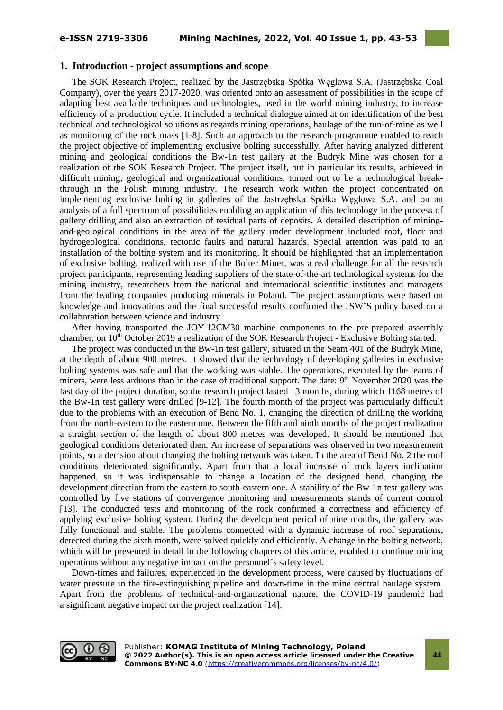### **1. Introduction - project assumptions and scope**

The SOK Research Project, realized by the Jastrzębska Spółka Węglowa S.A. (Jastrzębska Coal Company), over the years 2017-2020, was oriented onto an assessment of possibilities in the scope of adapting best available techniques and technologies, used in the world mining industry, to increase efficiency of a production cycle. It included a technical dialogue aimed at on identification of the best technical and technological solutions as regards mining operations, haulage of the run-of-mine as well as monitoring of the rock mass [1-8]. Such an approach to the research programme enabled to reach the project objective of implementing exclusive bolting successfully. After having analyzed different mining and geological conditions the Bw-1n test gallery at the Budryk Mine was chosen for a realization of the SOK Research Project. The project itself, but in particular its results, achieved in difficult mining, geological and organizational conditions, turned out to be a technological breakthrough in the Polish mining industry. The research work within the project concentrated on implementing exclusive bolting in galleries of the Jastrzębska Spółka Węglowa S.A. and on an analysis of a full spectrum of possibilities enabling an application of this technology in the process of gallery drilling and also an extraction of residual parts of deposits. A detailed description of miningand-geological conditions in the area of the gallery under development included roof, floor and hydrogeological conditions, tectonic faults and natural hazards. Special attention was paid to an installation of the bolting system and its monitoring. It should be highlighted that an implementation of exclusive bolting, realized with use of the Bolter Miner, was a real challenge for all the research project participants, representing leading suppliers of the state-of-the-art technological systems for the mining industry, researchers from the national and international scientific institutes and managers from the leading companies producing minerals in Poland. The project assumptions were based on knowledge and innovations and the final successful results confirmed the JSW'S policy based on a collaboration between science and industry.

After having transported the JOY 12CM30 machine components to the pre-prepared assembly chamber, on  $10<sup>th</sup>$  October 2019 a realization of the SOK Research Project - Exclusive Bolting started.

The project was conducted in the Bw-1n test gallery, situated in the Seam 401 of the Budryk Mine, at the depth of about 900 metres. It showed that the technology of developing galleries in exclusive bolting systems was safe and that the working was stable. The operations, executed by the teams of miners, were less arduous than in the case of traditional support. The date: 9<sup>th</sup> November 2020 was the last day of the project duration, so the research project lasted 13 months, during which 1168 metres of the Bw-1n test gallery were drilled [9-12]. The fourth month of the project was particularly difficult due to the problems with an execution of Bend No. 1, changing the direction of drilling the working from the north-eastern to the eastern one. Between the fifth and ninth months of the project realization a straight section of the length of about 800 metres was developed. It should be mentioned that geological conditions deteriorated then. An increase of separations was observed in two measurement points, so a decision about changing the bolting network was taken. In the area of Bend No. 2 the roof conditions deteriorated significantly. Apart from that a local increase of rock layers inclination happened, so it was indispensable to change a location of the designed bend, changing the development direction from the eastern to south-eastern one. A stability of the Bw-1n test gallery was controlled by five stations of convergence monitoring and measurements stands of current control [13]. The conducted tests and monitoring of the rock confirmed a correctness and efficiency of applying exclusive bolting system. During the development period of nine months, the gallery was fully functional and stable. The problems connected with a dynamic increase of roof separations, detected during the sixth month, were solved quickly and efficiently. A change in the bolting network, which will be presented in detail in the following chapters of this article, enabled to continue mining operations without any negative impact on the personnel's safety level.

Down-times and failures, experienced in the development process, were caused by fluctuations of water pressure in the fire-extinguishing pipeline and down-time in the mine central haulage system. Apart from the problems of technical-and-organizational nature, the COVID-19 pandemic had a significant negative impact on the project realization [14].



**44**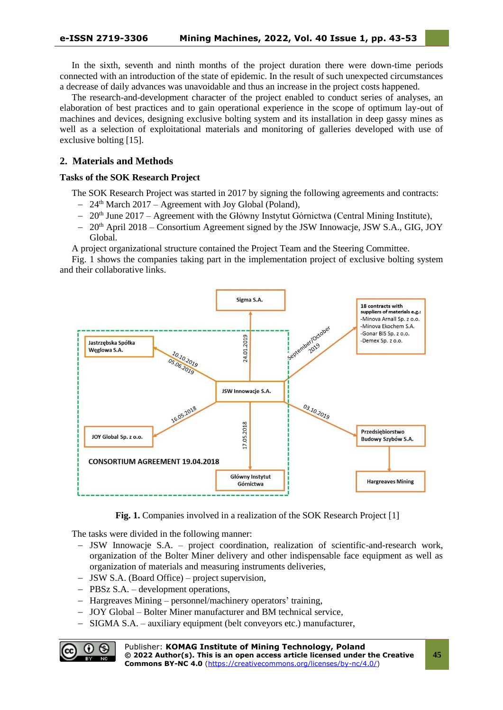In the sixth, seventh and ninth months of the project duration there were down-time periods connected with an introduction of the state of epidemic. In the result of such unexpected circumstances a decrease of daily advances was unavoidable and thus an increase in the project costs happened.

The research-and-development character of the project enabled to conduct series of analyses, an elaboration of best practices and to gain operational experience in the scope of optimum lay-out of machines and devices, designing exclusive bolting system and its installation in deep gassy mines as well as a selection of exploitational materials and monitoring of galleries developed with use of exclusive bolting [15].

# **2. Materials and Methods**

# **Tasks of the SOK Research Project**

The SOK Research Project was started in 2017 by signing the following agreements and contracts:

- − 24th March 2017 Agreement with Joy Global (Poland),
- − 20<sup>th</sup> June 2017 Agreement with the Główny Instytut Górnictwa (Central Mining Institute),
- − 20th April 2018 Consortium Agreement signed by the JSW Innowacje, JSW S.A., GIG, JOY Global.

A project organizational structure contained the Project Team and the Steering Committee.

Fig. 1 shows the companies taking part in the implementation project of exclusive bolting system and their collaborative links.



**Fig. 1.** Companies involved in a realization of the SOK Research Project [1]

The tasks were divided in the following manner:

- − JSW Innowacje S.A. project coordination, realization of scientific-and-research work, organization of the Bolter Miner delivery and other indispensable face equipment as well as organization of materials and measuring instruments deliveries,
- − JSW S.A. (Board Office) project supervision,
- − PBSz S.A. development operations,
- − Hargreaves Mining personnel/machinery operators' training,
- − JOY Global Bolter Miner manufacturer and BM technical service,
- − SIGMA S.A. auxiliary equipment (belt conveyors etc.) manufacturer,

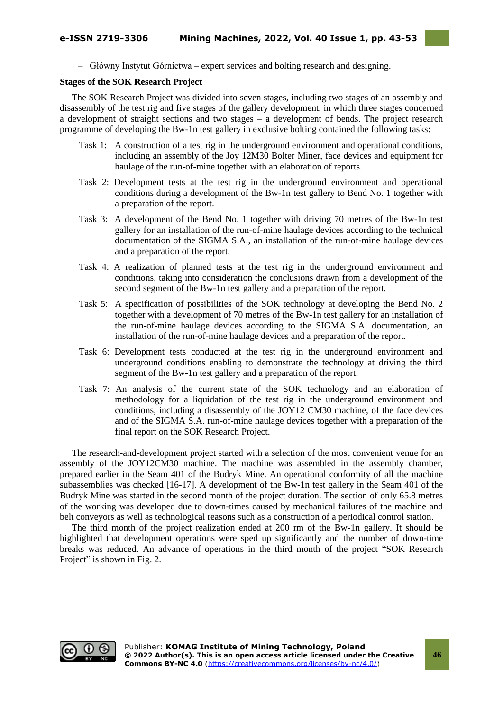− Główny Instytut Górnictwa – expert services and bolting research and designing.

## **Stages of the SOK Research Project**

The SOK Research Project was divided into seven stages, including two stages of an assembly and disassembly of the test rig and five stages of the gallery development, in which three stages concerned a development of straight sections and two stages – a development of bends. The project research programme of developing the Bw-1n test gallery in exclusive bolting contained the following tasks:

- Task 1: A construction of a test rig in the underground environment and operational conditions, including an assembly of the Joy 12M30 Bolter Miner, face devices and equipment for haulage of the run-of-mine together with an elaboration of reports.
- Task 2: Development tests at the test rig in the underground environment and operational conditions during a development of the Bw-1n test gallery to Bend No. 1 together with a preparation of the report.
- Task 3: A development of the Bend No. 1 together with driving 70 metres of the Bw-1n test gallery for an installation of the run-of-mine haulage devices according to the technical documentation of the SIGMA S.A., an installation of the run-of-mine haulage devices and a preparation of the report.
- Task 4: A realization of planned tests at the test rig in the underground environment and conditions, taking into consideration the conclusions drawn from a development of the second segment of the Bw-1n test gallery and a preparation of the report.
- Task 5: A specification of possibilities of the SOK technology at developing the Bend No. 2 together with a development of 70 metres of the Bw-1n test gallery for an installation of the run-of-mine haulage devices according to the SIGMA S.A. documentation, an installation of the run-of-mine haulage devices and a preparation of the report.
- Task 6: Development tests conducted at the test rig in the underground environment and underground conditions enabling to demonstrate the technology at driving the third segment of the Bw-1n test gallery and a preparation of the report.
- Task 7: An analysis of the current state of the SOK technology and an elaboration of methodology for a liquidation of the test rig in the underground environment and conditions, including a disassembly of the JOY12 CM30 machine, of the face devices and of the SIGMA S.A. run-of-mine haulage devices together with a preparation of the final report on the SOK Research Project.

The research-and-development project started with a selection of the most convenient venue for an assembly of the JOY12CM30 machine. The machine was assembled in the assembly chamber, prepared earlier in the Seam 401 of the Budryk Mine. An operational conformity of all the machine subassemblies was checked [16-17]. A development of the Bw-1n test gallery in the Seam 401 of the Budryk Mine was started in the second month of the project duration. The section of only 65.8 metres of the working was developed due to down-times caused by mechanical failures of the machine and belt conveyors as well as technological reasons such as a construction of a periodical control station.

The third month of the project realization ended at 200 rm of the Bw-1n gallery. It should be highlighted that development operations were sped up significantly and the number of down-time breaks was reduced. An advance of operations in the third month of the project "SOK Research Project" is shown in Fig. 2.

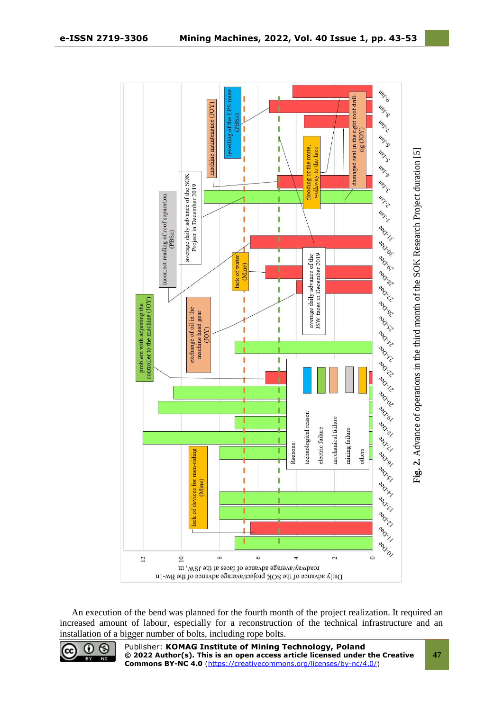

An execution of the bend was planned for the fourth month of the project realization. It required an increased amount of labour, especially for a reconstruction of the technical infrastructure and an installation of a bigger number of bolts, including rope bolts.



Publisher: **KOMAG Institute of Mining Technology, Poland © 2022 Author(s). This is an open access article licensed under the Creative Commons BY-NC 4.0** [\(https://creativecommons.org/licenses/by-nc/4.0/\)](https://creativecommons.org/licenses/by-nc/4.0/)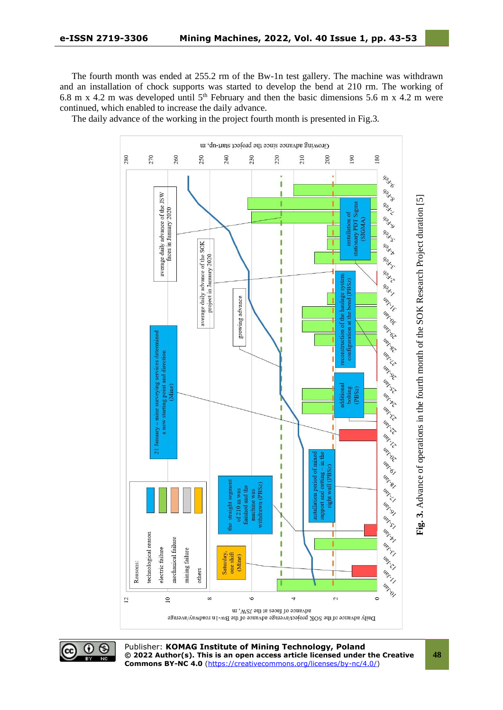The fourth month was ended at 255.2 rm of the Bw-1n test gallery. The machine was withdrawn and an installation of chock supports was started to develop the bend at 210 rm. The working of 6.8 m x 4.2 m was developed until  $5<sup>th</sup>$  February and then the basic dimensions 5.6 m x 4.2 m were continued, which enabled to increase the daily advance.

The daily advance of the working in the project fourth month is presented in Fig.3.





Publisher: **KOMAG Institute of Mining Technology, Poland © 2022 Author(s). This is an open access article licensed under the Creative Commons BY-NC 4.0** [\(https://creativecommons.org/licenses/by-nc/4.0/\)](https://creativecommons.org/licenses/by-nc/4.0/)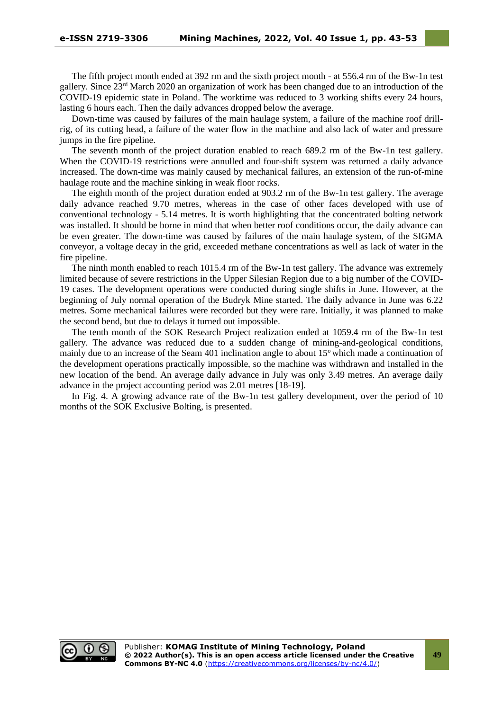The fifth project month ended at 392 rm and the sixth project month - at 556.4 rm of the Bw-1n test gallery. Since 23rd March 2020 an organization of work has been changed due to an introduction of the COVID-19 epidemic state in Poland. The worktime was reduced to 3 working shifts every 24 hours, lasting 6 hours each. Then the daily advances dropped below the average.

Down-time was caused by failures of the main haulage system, a failure of the machine roof drillrig, of its cutting head, a failure of the water flow in the machine and also lack of water and pressure jumps in the fire pipeline.

The seventh month of the project duration enabled to reach 689.2 rm of the Bw-1n test gallery. When the COVID-19 restrictions were annulled and four-shift system was returned a daily advance increased. The down-time was mainly caused by mechanical failures, an extension of the run-of-mine haulage route and the machine sinking in weak floor rocks.

The eighth month of the project duration ended at 903.2 rm of the Bw-1n test gallery. The average daily advance reached 9.70 metres, whereas in the case of other faces developed with use of conventional technology - 5.14 metres. It is worth highlighting that the concentrated bolting network was installed. It should be borne in mind that when better roof conditions occur, the daily advance can be even greater. The down-time was caused by failures of the main haulage system, of the SIGMA conveyor, a voltage decay in the grid, exceeded methane concentrations as well as lack of water in the fire pipeline.

The ninth month enabled to reach 1015.4 rm of the Bw-1n test gallery. The advance was extremely limited because of severe restrictions in the Upper Silesian Region due to a big number of the COVID-19 cases. The development operations were conducted during single shifts in June. However, at the beginning of July normal operation of the Budryk Mine started. The daily advance in June was 6.22 metres. Some mechanical failures were recorded but they were rare. Initially, it was planned to make the second bend, but due to delays it turned out impossible.

The tenth month of the SOK Research Project realization ended at 1059.4 rm of the Bw-1n test gallery. The advance was reduced due to a sudden change of mining-and-geological conditions, mainly due to an increase of the Seam 401 inclination angle to about 15<sup>o</sup> which made a continuation of the development operations practically impossible, so the machine was withdrawn and installed in the new location of the bend. An average daily advance in July was only 3.49 metres. An average daily advance in the project accounting period was 2.01 metres [18-19].

In Fig. 4. A growing advance rate of the Bw-1n test gallery development, over the period of 10 months of the SOK Exclusive Bolting, is presented.

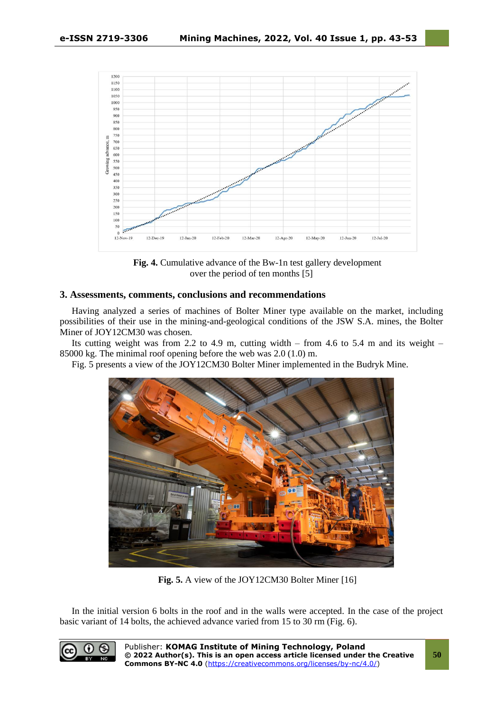

**Fig. 4.** Cumulative advance of the Bw-1n test gallery development over the period of ten months [5]

# **3. Assessments, comments, conclusions and recommendations**

Having analyzed a series of machines of Bolter Miner type available on the market, including possibilities of their use in the mining-and-geological conditions of the JSW S.A. mines, the Bolter Miner of JOY12CM30 was chosen.

Its cutting weight was from 2.2 to 4.9 m, cutting width – from 4.6 to 5.4 m and its weight – 85000 kg. The minimal roof opening before the web was 2.0 (1.0) m.

Fig. 5 presents a view of the JOY12CM30 Bolter Miner implemented in the Budryk Mine.



**Fig. 5.** A view of the JOY12CM30 Bolter Miner [16]

In the initial version 6 bolts in the roof and in the walls were accepted. In the case of the project basic variant of 14 bolts, the achieved advance varied from 15 to 30 rm (Fig. 6).

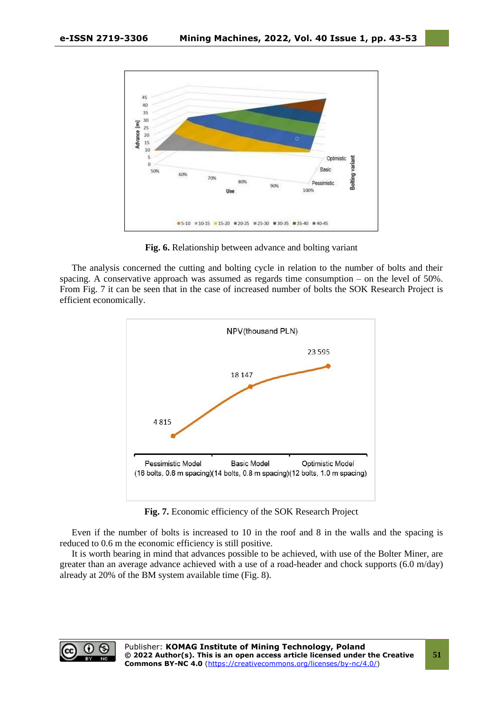

**Fig. 6.** Relationship between advance and bolting variant

The analysis concerned the cutting and bolting cycle in relation to the number of bolts and their spacing. A conservative approach was assumed as regards time consumption – on the level of 50%. From Fig. 7 it can be seen that in the case of increased number of bolts the SOK Research Project is efficient economically.



**Fig. 7.** Economic efficiency of the SOK Research Project

Even if the number of bolts is increased to 10 in the roof and 8 in the walls and the spacing is reduced to 0.6 m the economic efficiency is still positive.

It is worth bearing in mind that advances possible to be achieved, with use of the Bolter Miner, are greater than an average advance achieved with a use of a road-header and chock supports (6.0 m/day) already at 20% of the BM system available time (Fig. 8).

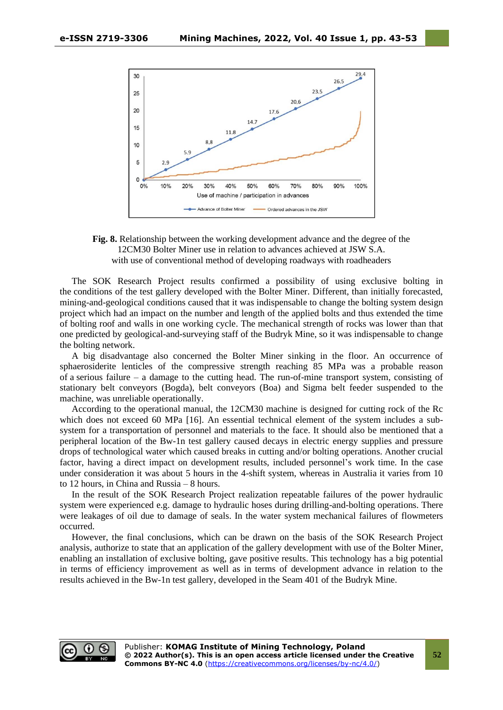



The SOK Research Project results confirmed a possibility of using exclusive bolting in the conditions of the test gallery developed with the Bolter Miner. Different, than initially forecasted, mining-and-geological conditions caused that it was indispensable to change the bolting system design project which had an impact on the number and length of the applied bolts and thus extended the time of bolting roof and walls in one working cycle. The mechanical strength of rocks was lower than that one predicted by geological-and-surveying staff of the Budryk Mine, so it was indispensable to change the bolting network.

A big disadvantage also concerned the Bolter Miner sinking in the floor. An occurrence of sphaerosiderite lenticles of the compressive strength reaching 85 MPa was a probable reason of a serious failure – a damage to the cutting head. The run-of-mine transport system, consisting of stationary belt conveyors (Bogda), belt conveyors (Boa) and Sigma belt feeder suspended to the machine, was unreliable operationally.

According to the operational manual, the 12CM30 machine is designed for cutting rock of the Rc which does not exceed 60 MPa [16]. An essential technical element of the system includes a subsystem for a transportation of personnel and materials to the face. It should also be mentioned that a peripheral location of the Bw-1n test gallery caused decays in electric energy supplies and pressure drops of technological water which caused breaks in cutting and/or bolting operations. Another crucial factor, having a direct impact on development results, included personnel's work time. In the case under consideration it was about 5 hours in the 4-shift system, whereas in Australia it varies from 10 to 12 hours, in China and Russia – 8 hours.

In the result of the SOK Research Project realization repeatable failures of the power hydraulic system were experienced e.g. damage to hydraulic hoses during drilling-and-bolting operations. There were leakages of oil due to damage of seals. In the water system mechanical failures of flowmeters occurred.

However, the final conclusions, which can be drawn on the basis of the SOK Research Project analysis, authorize to state that an application of the gallery development with use of the Bolter Miner, enabling an installation of exclusive bolting, gave positive results. This technology has a big potential in terms of efficiency improvement as well as in terms of development advance in relation to the results achieved in the Bw-1n test gallery, developed in the Seam 401 of the Budryk Mine.



**52**